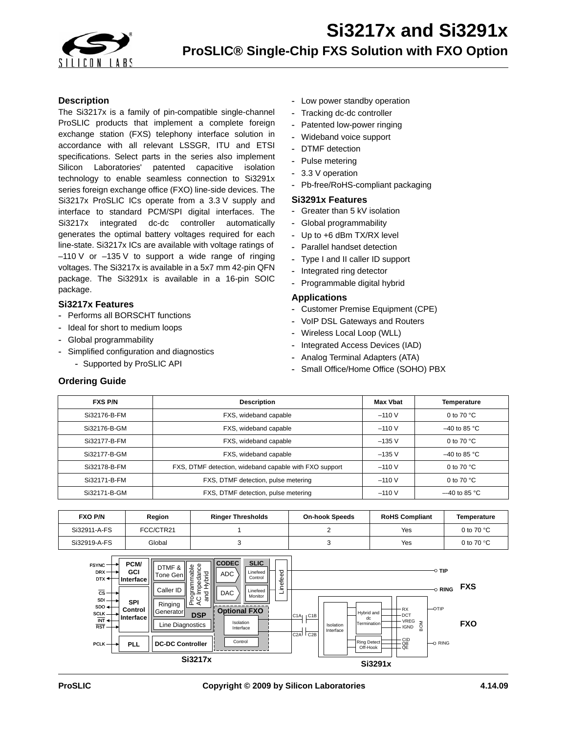

## **Description**

The Si3217x is a family of pin-compatible single-channel ProSLIC products that implement a complete foreign exchange station (FXS) telephony interface solution in accordance with all relevant LSSGR, ITU and ETSI specifications. Select parts in the series also implement Silicon Laboratories' patented capacitive isolation technology to enable seamless connection to Si3291x series foreign exchange office (FXO) line-side devices. The Si3217x ProSLIC ICs operate from a 3.3 V supply and interface to standard PCM/SPI digital interfaces. The Si3217x integrated dc-dc controller automatically generates the optimal battery voltages required for each line-state. Si3217x ICs are available with voltage ratings of  $-110$  V or  $-135$  V to support a wide range of ringing voltages. The Si3217x is available in a 5x7 mm 42-pin QFN package. The Si3291x is available in a 16-pin SOIC package.

## **Si3217x Features**

- **-** Performs all BORSCHT functions
- **-** Ideal for short to medium loops
- **-** Global programmability
- **-** Simplified configuration and diagnostics
	- **-** Supported by ProSLIC API
- **-** Low power standby operation
- **-** Tracking dc-dc controller
- **-** Patented low-power ringing
- **-** Wideband voice support
- **-** DTMF detection
- **-** Pulse metering
- **-** 3.3 V operation
- **-** Pb-free/RoHS-compliant packaging

### **Si3291x Features**

- **-** Greater than 5 kV isolation
- **-** Global programmability
- **-** Up to +6 dBm TX/RX level
- **-** Parallel handset detection
- **-** Type I and II caller ID support
- **-** Integrated ring detector
- **-** Programmable digital hybrid

## **Applications**

- **-** Customer Premise Equipment (CPE)
- **-** VoIP DSL Gateways and Routers
- **-** Wireless Local Loop (WLL)
- **-** Integrated Access Devices (IAD)
- **-** Analog Terminal Adapters (ATA)
- **-** Small Office/Home Office (SOHO) PBX

## **Ordering Guide**

| <b>FXS P/N</b> | <b>Description</b>                                     | <b>Max Vbat</b> | <b>Temperature</b>   |
|----------------|--------------------------------------------------------|-----------------|----------------------|
| Si32176-B-FM   | FXS, wideband capable                                  | $-110V$         | 0 to 70 $^{\circ}$ C |
| Si32176-B-GM   | FXS, wideband capable                                  | $-110V$         | $-40$ to 85 °C       |
| Si32177-B-FM   | FXS, wideband capable                                  | $-135V$         | 0 to 70 $^{\circ}$ C |
| Si32177-B-GM   | FXS, wideband capable                                  | $-135$ V        | $-40$ to 85 °C       |
| Si32178-B-FM   | FXS, DTMF detection, wideband capable with FXO support | $-110V$         | 0 to 70 $^{\circ}$ C |
| Si32171-B-FM   | FXS, DTMF detection, pulse metering                    | $-110V$         | 0 to 70 $^{\circ}$ C |
| Si32171-B-GM   | FXS, DTMF detection, pulse metering                    | $-110V$         | $-40$ to 85 °C       |

| <b>FXO P/N</b> | Region    | <b>Ringer Thresholds</b> | <b>On-hook Speeds</b> | <b>RoHS Compliant</b> | Temperature          |
|----------------|-----------|--------------------------|-----------------------|-----------------------|----------------------|
| Si32911-A-FS   | FCC/CTR21 |                          |                       | Yes                   | 0 to 70 $^{\circ}$ C |
| Si32919-A-FS   | Global    |                          |                       | Yes                   | 0 to 70 $\degree$ C  |